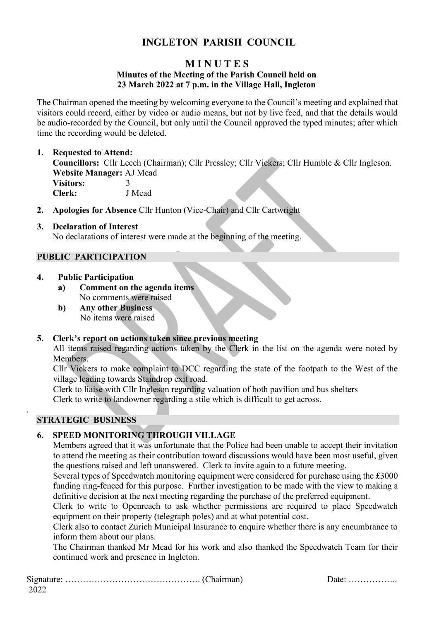## **INGLETON PARISH COUNCIL**

# **M I N U T E S**

#### **Minutes of the Meeting of the Parish Council held on 23 March 2022 at 7 p.m. in the Village Hall, Ingleton**

The Chairman opened the meeting by welcoming everyone to the Council's meeting and explained that visitors could record, either by video or audio means, but not by live feed, and that the details would be audio-recorded by the Council, but only until the Council approved the typed minutes; after which time the recording would be deleted.

## **1. Requested to Attend:**

**Councillors:** Cllr Leech (Chairman); Cllr Pressley; Cllr Vickers; Cllr Humble & Cllr Ingleson. **Website Manager:** AJ Mead **Visitors:** 3 **Clerk:** J Mead

**2. Apologies for Absence** Cllr Hunton (Vice-Chair) and Cllr Cartwright

## **3. Declaration of Interest**

No declarations of interest were made at the beginning of the meeting.

## **PUBLIC PARTICIPATION**

## **4. Public Participation**

- **a) Comment on the agenda items** No comments were raised
- **b) Any other Business** No items were raised

## **5. Clerk's report on actions taken since previous meeting**

All items raised regarding actions taken by the Clerk in the list on the agenda were noted by Members.

Cllr Vickers to make complaint to DCC regarding the state of the footpath to the West of the village leading towards Staindrop exit road.

Clerk to liaise with Cllr Ingleson regarding valuation of both pavilion and bus shelters Clerk to write to landowner regarding a stile which is difficult to get across.

## **STRATEGIC BUSINESS**

## **6. SPEED MONITORING THROUGH VILLAGE**

Members agreed that it was unfortunate that the Police had been unable to accept their invitation to attend the meeting as their contribution toward discussions would have been most useful, given the questions raised and left unanswered. Clerk to invite again to a future meeting.

Several types of Speedwatch monitoring equipment were considered for purchase using the £3000 funding ring-fenced for this purpose. Further investigation to be made with the view to making a definitive decision at the next meeting regarding the purchase of the preferred equipment.

Clerk to write to Openreach to ask whether permissions are required to place Speedwatch equipment on their property (telegraph poles) and at what potential cost.

Clerk also to contact Zurich Municipal Insurance to enquire whether there is any encumbrance to inform them about our plans.

The Chairman thanked Mr Mead for his work and also thanked the Speedwatch Team for their continued work and presence in Ingleton.

Signature: ………………………………………. (Chairman) Date: ……………..

.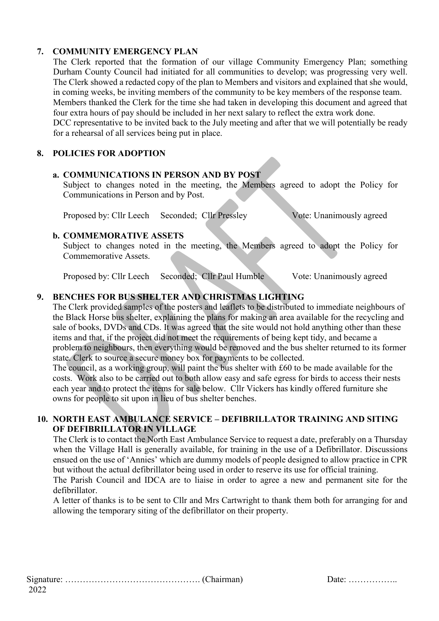#### **7. COMMUNITY EMERGENCY PLAN**

The Clerk reported that the formation of our village Community Emergency Plan; something Durham County Council had initiated for all communities to develop; was progressing very well. The Clerk showed a redacted copy of the plan to Members and visitors and explained that she would, in coming weeks, be inviting members of the community to be key members of the response team. Members thanked the Clerk for the time she had taken in developing this document and agreed that four extra hours of pay should be included in her next salary to reflect the extra work done. DCC representative to be invited back to the July meeting and after that we will potentially be ready for a rehearsal of all services being put in place.

#### **8. POLICIES FOR ADOPTION**

#### **a. COMMUNICATIONS IN PERSON AND BY POST**

Subject to changes noted in the meeting, the Members agreed to adopt the Policy for Communications in Person and by Post.

Proposed by: Cllr Leech Seconded; Cllr Pressley Vote: Unanimously agreed

#### **b. COMMEMORATIVE ASSETS**

Subject to changes noted in the meeting, the Members agreed to adopt the Policy for Commemorative Assets.

Proposed by: Cllr Leech Seconded; Cllr Paul Humble Vote: Unanimously agreed

#### **9. BENCHES FOR BUS SHELTER AND CHRISTMAS LIGHTING**

The Clerk provided samples of the posters and leaflets to be distributed to immediate neighbours of the Black Horse bus shelter, explaining the plans for making an area available for the recycling and sale of books, DVDs and CDs. It was agreed that the site would not hold anything other than these items and that, if the project did not meet the requirements of being kept tidy, and became a problem to neighbours, then everything would be removed and the bus shelter returned to its former state. Clerk to source a secure money box for payments to be collected.

The council, as a working group, will paint the bus shelter with £60 to be made available for the costs. Work also to be carried out to both allow easy and safe egress for birds to access their nests each year and to protect the items for sale below. Cllr Vickers has kindly offered furniture she owns for people to sit upon in lieu of bus shelter benches.

#### **10. NORTH EAST AMBULANCE SERVICE – DEFIBRILLATOR TRAINING AND SITING OF DEFIBRILLATOR IN VILLAGE**

The Clerk is to contact the North East Ambulance Service to request a date, preferably on a Thursday when the Village Hall is generally available, for training in the use of a Defibrillator. Discussions ensued on the use of 'Annies' which are dummy models of people designed to allow practice in CPR but without the actual defibrillator being used in order to reserve its use for official training.

The Parish Council and IDCA are to liaise in order to agree a new and permanent site for the defibrillator.

A letter of thanks is to be sent to Cllr and Mrs Cartwright to thank them both for arranging for and allowing the temporary siting of the defibrillator on their property.

|--|--|

Signature: ………………………………………. (Chairman) Date: ……………..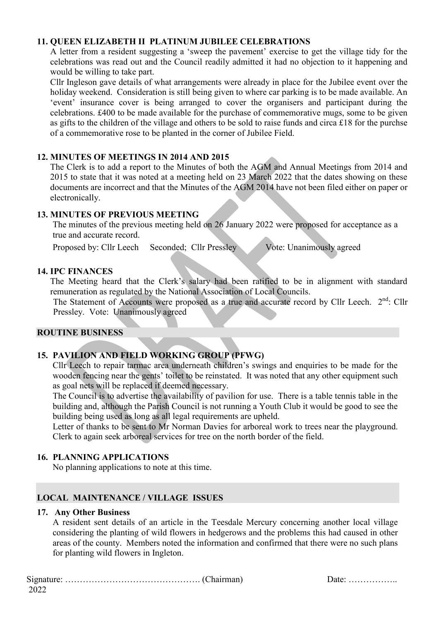#### **11. QUEEN ELIZABETH II PLATINUM JUBILEE CELEBRATIONS**

A letter from a resident suggesting a 'sweep the pavement' exercise to get the village tidy for the celebrations was read out and the Council readily admitted it had no objection to it happening and would be willing to take part.

Cllr Ingleson gave details of what arrangements were already in place for the Jubilee event over the holiday weekend. Consideration is still being given to where car parking is to be made available. An 'event' insurance cover is being arranged to cover the organisers and participant during the celebrations. £400 to be made available for the purchase of commemorative mugs, some to be given as gifts to the children of the village and others to be sold to raise funds and circa £18 for the purchse of a commemorative rose to be planted in the corner of Jubilee Field.

#### **12. MINUTES OF MEETINGS IN 2014 AND 2015**

The Clerk is to add a report to the Minutes of both the AGM and Annual Meetings from 2014 and 2015 to state that it was noted at a meeting held on 23 March 2022 that the dates showing on these documents are incorrect and that the Minutes of the AGM 2014 have not been filed either on paper or electronically.

#### **13. MINUTES OF PREVIOUS MEETING**

The minutes of the previous meeting held on 26 January 2022 were proposed for acceptance as a true and accurate record.

Proposed by: Cllr Leech Seconded; Cllr Pressley Vote: Unanimously agreed

#### **14. IPC FINANCES**

The Meeting heard that the Clerk's salary had been ratified to be in alignment with standard remuneration as regulated by the National Association of Local Councils.

The Statement of Accounts were proposed as a true and accurate record by Cllr Leech. 2<sup>nd</sup>: Cllr Pressley. Vote: Unanimously agreed

#### **ROUTINE BUSINESS**

## **15. PAVILION AND FIELD WORKING GROUP (PFWG)**

Cllr Leech to repair tarmac area underneath children's swings and enquiries to be made for the wooden fencing near the gents' toilet to be reinstated. It was noted that any other equipment such as goal nets will be replaced if deemed necessary.

The Council is to advertise the availability of pavilion for use. There is a table tennis table in the building and, although the Parish Council is not running a Youth Club it would be good to see the building being used as long as all legal requirements are upheld.

Letter of thanks to be sent to Mr Norman Davies for arboreal work to trees near the playground. Clerk to again seek arboreal services for tree on the north border of the field.

#### **16. PLANNING APPLICATIONS**

No planning applications to note at this time.

#### **LOCAL MAINTENANCE / VILLAGE ISSUES**

#### **17. Any Other Business**

A resident sent details of an article in the Teesdale Mercury concerning another local village considering the planting of wild flowers in hedgerows and the problems this had caused in other areas of the county. Members noted the information and confirmed that there were no such plans for planting wild flowers in Ingleton.

Signature: ………………………………………. (Chairman) Date: ……………..